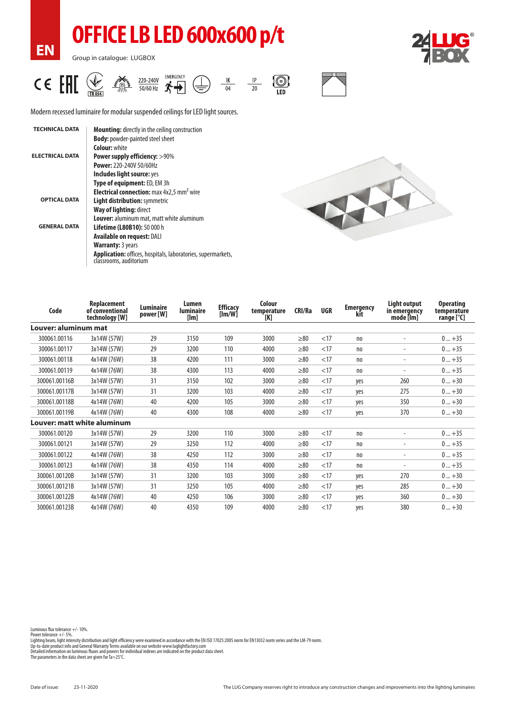





Modern recessed luminaire for modular suspended ceilings for LED light sources.

Group in catalogue: LUGBOX

**EN**

| <b>Mounting:</b> directly in the ceiling construction                                         |
|-----------------------------------------------------------------------------------------------|
| <b>Body:</b> powder-painted steel sheet                                                       |
| <b>Colour: white</b>                                                                          |
| <b>Power supply efficiency: &gt;90%</b>                                                       |
| <b>Power: 220-240V 50/60Hz</b>                                                                |
| Includes light source: yes                                                                    |
| Type of equipment: ED, EM 3h                                                                  |
| <b>Electrical connection:</b> max $4x2.5$ mm <sup>2</sup> wire                                |
| <b>Light distribution: symmetric</b>                                                          |
| Way of lighting: direct                                                                       |
| Louver: aluminum mat, matt white aluminum                                                     |
| <b>Lifetime (L80B10): 50 000 h</b>                                                            |
| <b>Available on request: DALI</b>                                                             |
| <b>Warranty: 3 years</b>                                                                      |
| <b>Application:</b> offices, hospitals, laboratories, supermarkets,<br>classrooms, auditorium |
|                                                                                               |



| Code                 | Replacement<br>of conventional<br>technology [W] | Luminaire<br>power [W] | Lumen<br><b>luminaire</b><br>[Im] | <b>Efficacy</b><br>[Im/W] | <b>Colour</b><br>temperature<br>[K] | CRI/Ra    | <b>UGR</b> | <b>Emergency</b><br>kit | Light output<br>in emergency<br>mode [lm] | <b>Operating</b><br>temperature<br>range [°C] |
|----------------------|--------------------------------------------------|------------------------|-----------------------------------|---------------------------|-------------------------------------|-----------|------------|-------------------------|-------------------------------------------|-----------------------------------------------|
| Louver: aluminum mat |                                                  |                        |                                   |                           |                                     |           |            |                         |                                           |                                               |
| 300061.00116         | 3x14W (57W)                                      | 29                     | 3150                              | 109                       | 3000                                | $\geq 80$ | <17        | no                      |                                           | $0+35$                                        |
| 300061.00117         | 3x14W (57W)                                      | 29                     | 3200                              | 110                       | 4000                                | $\geq 80$ | <17        | no                      | $\overline{\phantom{a}}$                  | $0+35$                                        |
| 300061.00118         | 4x14W (76W)                                      | 38                     | 4200                              | 111                       | 3000                                | $\geq 80$ | <17        | no                      | $\overline{\phantom{a}}$                  | $0+35$                                        |
| 300061.00119         | 4x14W (76W)                                      | 38                     | 4300                              | 113                       | 4000                                | $\geq 80$ | <17        | no                      | $\overline{\phantom{a}}$                  | $0+35$                                        |
| 300061.00116B        | 3x14W (57W)                                      | 31                     | 3150                              | 102                       | 3000                                | $\geq 80$ | <17        | yes                     | 260                                       | $0+30$                                        |
| 300061.00117B        | 3x14W (57W)                                      | 31                     | 3200                              | 103                       | 4000                                | $\geq 80$ | <17        | yes                     | 275                                       | $0+30$                                        |
| 300061.00118B        | 4x14W (76W)                                      | 40                     | 4200                              | 105                       | 3000                                | $\geq 80$ | <17        | yes                     | 350                                       | $0+30$                                        |
| 300061.00119B        | 4x14W (76W)                                      | 40                     | 4300                              | 108                       | 4000                                | $\geq 80$ | <17        | yes                     | 370                                       | $0+30$                                        |
|                      | Louver: matt white aluminum                      |                        |                                   |                           |                                     |           |            |                         |                                           |                                               |
| 300061.00120         | 3x14W (57W)                                      | 29                     | 3200                              | 110                       | 3000                                | $\geq 80$ | <17        | no                      |                                           | $0+35$                                        |
| 300061.00121         | 3x14W (57W)                                      | 29                     | 3250                              | 112                       | 4000                                | $\geq 80$ | <17        | no                      | $\overline{\phantom{a}}$                  | $0+35$                                        |
| 300061.00122         | 4x14W (76W)                                      | 38                     | 4250                              | 112                       | 3000                                | $\geq 80$ | <17        | no                      |                                           | $0+35$                                        |
| 300061.00123         | 4x14W (76W)                                      | 38                     | 4350                              | 114                       | 4000                                | > 80      | <17        | no                      |                                           | $0+35$                                        |
| 300061.00120B        | 3x14W (57W)                                      | 31                     | 3200                              | 103                       | 3000                                | $\geq 80$ | $<$ 17     | yes                     | 270                                       | $0+30$                                        |
| 300061.00121B        | 3x14W (57W)                                      | 31                     | 3250                              | 105                       | 4000                                | $\geq 80$ | <17        | yes                     | 285                                       | $0+30$                                        |
| 300061.00122B        | 4x14W (76W)                                      | 40                     | 4250                              | 106                       | 3000                                | $\geq 80$ | <17        | yes                     | 360                                       | $0+30$                                        |
| 300061.00123B        | 4x14W (76W)                                      | 40                     | 4350                              | 109                       | 4000                                | $\geq 80$ | <17        | yes                     | 380                                       | $0+30$                                        |

Luminous flux tolerance  $+/- 10\%$ .<br>Power tolerance  $+/- 5\%$ .

Power tolerance +/- 5%.<br>Lighting beam, light intensity distribution and light efficiency were examined in accordance with the EN ISO 17025:2005 norm for EN13032 norm series and the LM-79 norm.<br>Up-to-date product info and G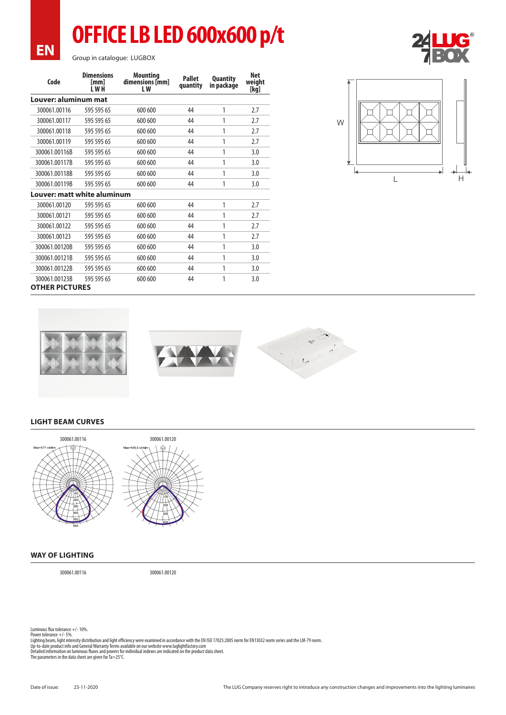## **OFFICE LB LED 600x600 p/t**



Group in catalogue: LUGBOX

| Code                                   | <b>Dimensions</b><br>[mm]<br>i w H | <b>Mounting</b><br>dimensions [mm]<br>L W | <b>Pallet</b><br>quantity | <b>Quantity</b><br>in package | <b>Net</b><br>weight<br>[kg] |  |  |  |  |  |  |  |
|----------------------------------------|------------------------------------|-------------------------------------------|---------------------------|-------------------------------|------------------------------|--|--|--|--|--|--|--|
| Louver: aluminum mat                   |                                    |                                           |                           |                               |                              |  |  |  |  |  |  |  |
| 300061.00116                           | 595 595 65                         | 600 600                                   | 44                        | 1                             | 2.7                          |  |  |  |  |  |  |  |
| 300061.00117                           | 595 595 65                         | 600 600                                   | 44                        | 1                             | 2.7                          |  |  |  |  |  |  |  |
| 300061.00118                           | 595 595 65                         | 600 600                                   | 44                        | 1                             | 2.7                          |  |  |  |  |  |  |  |
| 300061.00119                           | 595 595 65                         | 600 600                                   | 44                        | 1                             | 2.7                          |  |  |  |  |  |  |  |
| 300061.00116B                          | 595 595 65                         | 600 600                                   | 44                        | 1                             | 3.0                          |  |  |  |  |  |  |  |
| 300061.00117B                          | 595 595 65                         | 600 600                                   | 44                        | 1                             | 3.0                          |  |  |  |  |  |  |  |
| 300061.00118B                          | 595 595 65                         | 600 600                                   | 44                        | 1                             | 3.0                          |  |  |  |  |  |  |  |
| 300061.00119B                          | 595 595 65                         | 600 600                                   | 44                        | 1                             | 3.0                          |  |  |  |  |  |  |  |
| Louver: matt white aluminum            |                                    |                                           |                           |                               |                              |  |  |  |  |  |  |  |
| 300061.00120                           | 595 595 65                         | 600 600                                   | 44                        | 1                             | 2.7                          |  |  |  |  |  |  |  |
| 300061.00121                           | 595 595 65                         | 600 600                                   | 44                        | 1                             | 2.7                          |  |  |  |  |  |  |  |
| 300061.00122                           | 595 595 65                         | 600 600                                   | 44                        | 1                             | 2.7                          |  |  |  |  |  |  |  |
| 300061.00123                           | 595 595 65                         | 600 600                                   | 44                        | 1                             | 2.7                          |  |  |  |  |  |  |  |
| 300061.00120B                          | 595 595 65                         | 600 600                                   | 44                        | 1                             | 3.0                          |  |  |  |  |  |  |  |
| 300061.00121B                          | 595 595 65                         | 600 600                                   | 44                        | 1                             | 3.0                          |  |  |  |  |  |  |  |
| 300061.00122B                          | 595 595 65                         | 600 600                                   | 44                        | 1                             | 3.0                          |  |  |  |  |  |  |  |
| 300061.00123B<br><b>OTHER PICTURES</b> | 595 595 65                         | 600 600                                   | 44                        | 1                             | 3.0                          |  |  |  |  |  |  |  |



## **THER PICTUR**

**EN**



## **LIGHT BEAM CURVES**



## **WAY OF LIGHTING**

300061.00116 300061.00120

Luminous flux tolerance +/- 10%.

Power tolerance +/- 5%.<br>Lighting beam, light intensity distribution and light efficiency were examined in accordance with the EN ISO 17025:2005 norm for EN13032 norm series and the LM-79 norm.<br>Up-to-date product info and G